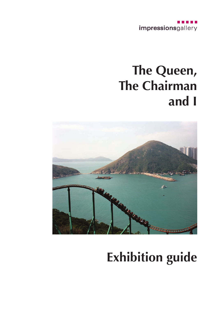

## **The Queen, The Chairman and I**



# **Exhibition guide**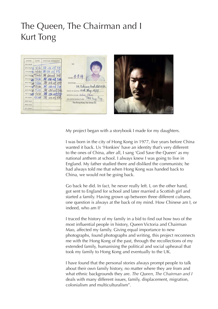#### The Queen, The Chairman and I Kurt Tong



My project began with a storybook I made for my daughters.

I was born in the city of Hong Kong in 1977, five years before China wanted it back. Us 'Honkies' have an identity that's very different to the ones of China, after all, I sang 'God Save the Queen' as my national anthem at school. I always knew I was going to live in England. My father studied there and disliked the communists; he had always told me that when Hong Kong was handed back to China, we would not be going back.

Go back he did. In fact, he never really left. I, on the other hand, got sent to England for school and later married a Scottish girl and started a family. Having grown up between three different cultures, one question is always at the back of my mind. How Chinese am I, or indeed, who am I?

I traced the history of my family in a bid to find out how two of the most influential people in history, Queen Victoria and Chairman Mao, affected my family. Giving equal importance to new photographs, found photographs and writing, this project reconnects me with the Hong Kong of the past, through the recollections of my extended family, humanising the political and social upheaval that took my family to Hong Kong and eventually to the UK.

I have found that the personal stories always prompt people to talk about their own family history, no matter where they are from and what ethnic backgrounds they are. *The Queen, The Chairman and I* deals with many different issues, family, displacement, migration, colonialism and multiculturalism".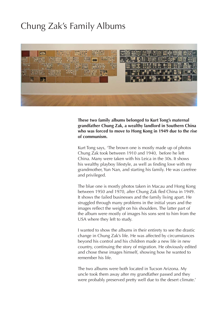#### Chung Zak's Family Albums



**These two family albums belonged to Kurt Tong's maternal grandfather Chung Zak, a wealthy landlord in Southern China who was forced to move to Hong Kong in 1949 due to the rise of communism.**

Kurt Tong says, 'The brown one is mostly made up of photos Chung Zak took between 1910 and 1940, before he left China. Many were taken with his Leica in the 30s. It shows his wealthy playboy lifestyle, as well as finding love with my grandmother, Yun Nan, and starting his family. He was carefree and privileged.

The blue one is mostly photos taken in Macau and Hong Kong between 1950 and 1970, after Chung Zak fled China in 1949. It shows the failed businesses and the family living apart. He struggled through many problems in the initial years and the images reflect the weight on his shoulders. The latter part of the album were mostly of images his sons sent to him from the USA where they left to study.

I wanted to show the albums in their entirety to see the drastic change in Chung Zak's life. He was affected by circumstances beyond his control and his children made a new life in new country, continuing the story of migration. He obviously edited and chose these images himself, showing how he wanted to remember his life.

The two albums were both located in Tucson Arizona. My uncle took them away after my grandfather passed and they were probably preserved pretty well due to the desert climate.'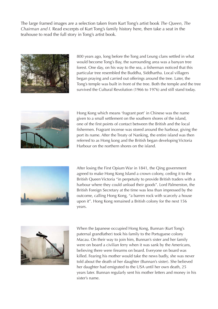The large framed images are a selection taken from Kurt Tong's artist book *The Queen, The Chairman and I.* Read excerpts of Kurt Tong's family history here, then take a seat in the teahouse to read the full story in Tong's artist book.



800 years ago, long before the Tong and Leung clans settled in what would become Tong's Bay, the surrounding area was a banyan tree forest. One day, on his way to the sea, a fisherman noticed that this particular tree resembled the Buddha, Siddhartha. Local villagers began praying and carried out offerings around the tree. Later, the Tong's temple was built in front of the tree. Both the temple and the tree survived the Cultural Revolution (1966 to 1976) and still stand today.



Hong Kong which means 'fragrant port' in Chinese was the name given to a small settlement on the southern shores of the island, one of the first points of contact between the British and the local fishermen. Fragrant incense was stored around the harbour, giving the port its name. After the Treaty of Nanking, the entire island was then referred to as Hong kong and the British began developing Victoria Harbour on the northern shores on the island.



After losing the First Opium War in 1841, the Qing government agreed to make Hong Kong Island a crown colony, ceding it to the British Queen Victoria "in perpetuity to provide British traders with a harbour where they could unload their goods". Lord Palmerston, the British Foreign Secretary at the time was less than impressed by the outcome, calling Hong Kong, "a barren rock with scarcely a house upon it". Hong Kong remained a British colony for the next 156 years.



When the Japanese occupied Hong Kong, Bunnan (Kurt Tong's paternal grandfather) took his family to the Portuguese colony Macau. On their way to join him, Bunnan's sister and her family were on board a civilian ferry when it was sank by the Americans, believing there were firearms on board. Everyone on board was killed. Fearing his mother would take the news badly, she was never told about the death of her daughter (Bunnan's sister). She believed her daughter had emigrated to the USA until her own death, 25 years later. Bunnan regularly sent his mother letters and money in his sister's name.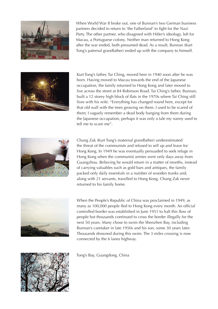

When World War II broke out, one of Bunnan's two German business partners decided to return to 'the Fatherland' to fight for the Nazi Party. The other partner, who disagreed with Hitler's ideology, left for Macau, a Portuguese colony. Neither man returned to Hong Kong after the war ended, both presumed dead. As a result, Bunnan (Kurt Tong's paternal grandfather) ended up with the company to himself.



Kurt Tong's father, Tai Ching, moved here in 1940 soon after he was born. Having moved to Macau towards the end of the Japanese occupation, the family returned to Hong Kong and later moved to live across the street at 84 Robinson Road. Tai Ching's father, Bunnan, built a 12 storey high block of flats in the 1970s where Tai Ching still lives with his wife. "Everything has changed round here, except for that old wall with the trees growing on them. I used to be scared of them; I vaguely remember a dead body hanging from them during the Japanese occupation, perhaps it was only a tale my nanny used to tell me to scare me".



Chung Zak (Kurt Tong's maternal grandfather) underestimated the threat of the communists and refused to sell up and leave for Hong Kong. In 1949 he was eventually persuaded to seek refuge in Hong Kong when the communist armies were only days away from Guangzhou. Believing he would return in a matter of months, instead of carrying valuables such as gold bars and antiques, the family packed only daily essentials in a number of wooden trunks and, along with 21 servants, travelled to Hong Kong. Chung Zak never returned to his family home.



When the People's Republic of China was proclaimed in 1949, as many as 100,000 people fled to Hong Kong every month. An official controlled border was established in June 1951 to halt this flow of people but thousands continued to cross the border illegally for the next 50 years. Many chose to swim the Shenzhen Bay, including Bunnan's caretaker in late 1950s and his son, some 30 years later. Thousands drowned during this swim. The 3 miles crossing is now connected by the 6 lanes highway.



Tong's Bay, Guangdong, China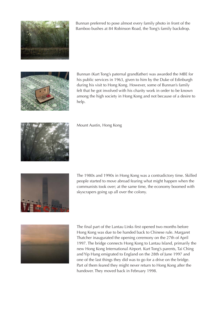

Bunnan preferred to pose almost every family photo in front of the Bamboo bushes at 84 Robinson Road, the Tong's family backdrop.



Bunnan (Kurt Tong's paternal grandfather) was awarded the MBE for his public services in 1963, given to him by the Duke of Edinburgh during his visit to Hong Kong. However, some of Bunnan's family felt that he got involved with his charity work in order to be known among the high society in Hong Kong and not because of a desire to help.



Mount Austin, Hong Kong



The 1980s and 1990s in Hong Kong was a contradictory time. Skilled people started to move abroad fearing what might happen when the communists took over; at the same time, the economy boomed with skyscrapers going up all over the colony.



The final part of the Lantau Links first opened two months before Hong Kong was due to be handed back to Chinese rule. Margaret Thatcher inaugurated the opening ceremony on the 27th of April 1997. The bridge connects Hong Kong to Lantau Island, primarily the new Hong Kong International Airport. Kurt Tong's parents, Tai Ching and Yip Hang emigrated to England on the 28th of June 1997 and one of the last things they did was to go for a drive on the bridge. Part of them feared they might never return to Hong Kong after the handover. They moved back in February 1998.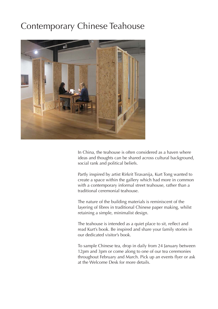#### Contemporary Chinese Teahouse



In China, the teahouse is often considered as a haven where ideas and thoughts can be shared across cultural background, social rank and political beliefs.

Partly inspired by artist Rirkrit Tiravanija, Kurt Tong wanted to create a space within the gallery which had more in common with a contemporary informal street teahouse, rather than a traditional ceremonial teahouse.

The nature of the building materials is reminiscent of the layering of fibres in traditional Chinese paper making, whilst retaining a simple, minimalist design.

The teahouse is intended as a quiet place to sit, reflect and read Kurt's book. Be inspired and share your family stories in our dedicated visitor's book.

To sample Chinese tea, drop in daily from 24 January between 12pm and 3pm or come along to one of our tea ceremonies throughout February and March. Pick up an events flyer or ask at the Welcome Desk for more details.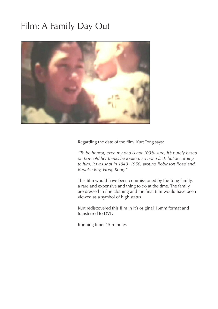#### Film: A Family Day Out



Regarding the date of the film, Kurt Tong says:

*"To be honest, even my dad is not 100% sure, it's purely based on how old her thinks he looked. So not a fact, but according to him, it was shot in 1949 -1950, around Robinson Road and Repulse Bay, Hong Kong."*

This film would have been commissioned by the Tong family, a rare and expensive and thing to do at the time. The family are dressed in fine clothing and the final film would have been viewed as a symbol of high status.

Kurt rediscovered this film in it's original 16mm format and transferred to DVD.

Running time: 15 minutes